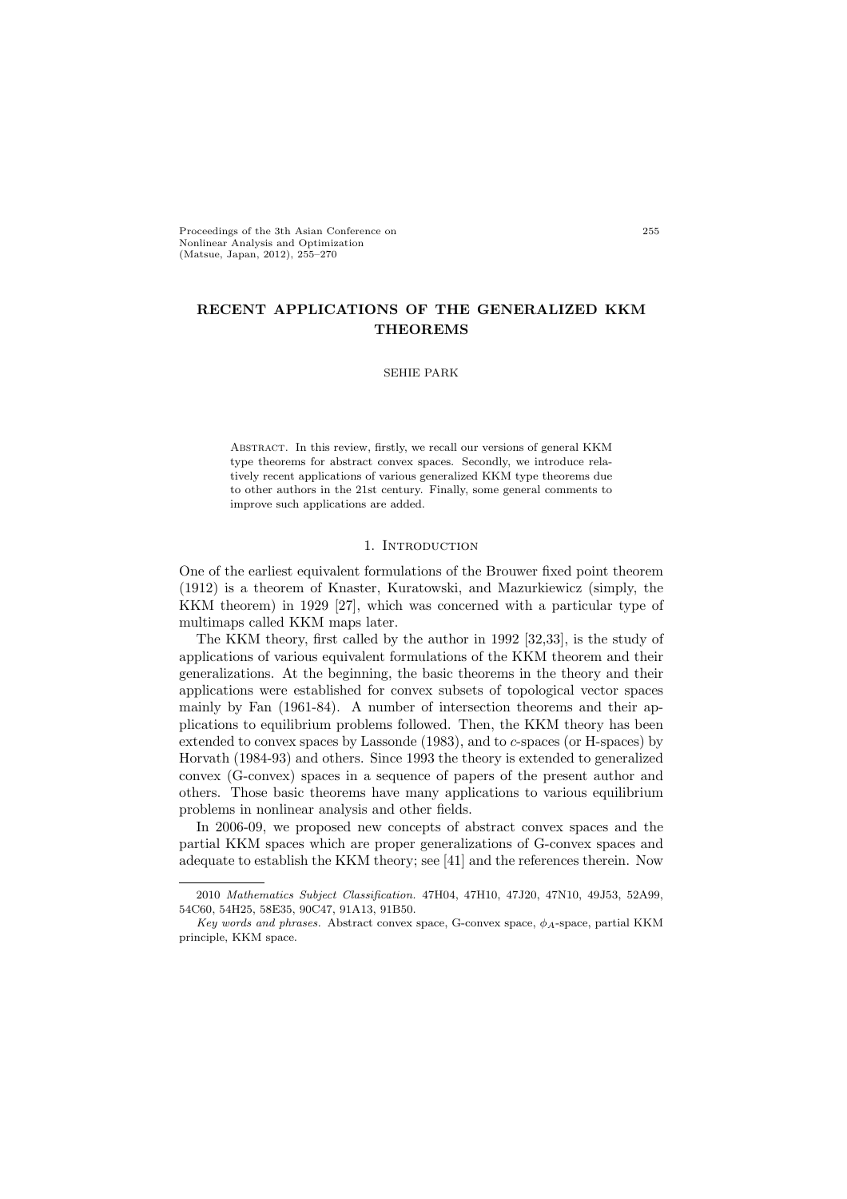Proceedings of the 3th Asian Conference on Nonlinear Analysis and Optimization (Matsue, Japan, 2012), 255–270

# **RECENT APPLICATIONS OF THE GENERALIZED KKM THEOREMS**

SEHIE PARK

Abstract. In this review, firstly, we recall our versions of general KKM type theorems for abstract convex spaces. Secondly, we introduce relatively recent applications of various generalized KKM type theorems due to other authors in the 21st century. Finally, some general comments to improve such applications are added.

#### 1. INTRODUCTION

One of the earliest equivalent formulations of the Brouwer fixed point theorem (1912) is a theorem of Knaster, Kuratowski, and Mazurkiewicz (simply, the KKM theorem) in 1929 [27], which was concerned with a particular type of multimaps called KKM maps later.

The KKM theory, first called by the author in 1992 [32,33], is the study of applications of various equivalent formulations of the KKM theorem and their generalizations. At the beginning, the basic theorems in the theory and their applications were established for convex subsets of topological vector spaces mainly by Fan (1961-84). A number of intersection theorems and their applications to equilibrium problems followed. Then, the KKM theory has been extended to convex spaces by Lassonde (1983), and to *c*-spaces (or H-spaces) by Horvath (1984-93) and others. Since 1993 the theory is extended to generalized convex (G-convex) spaces in a sequence of papers of the present author and others. Those basic theorems have many applications to various equilibrium problems in nonlinear analysis and other fields.

In 2006-09, we proposed new concepts of abstract convex spaces and the partial KKM spaces which are proper generalizations of G-convex spaces and adequate to establish the KKM theory; see [41] and the references therein. Now

<sup>2010</sup> *Mathematics Subject Classification.* 47H04, 47H10, 47J20, 47N10, 49J53, 52A99, 54C60, 54H25, 58E35, 90C47, 91A13, 91B50.

*Key words and phrases.* Abstract convex space, G-convex space, *ϕA*-space, partial KKM principle, KKM space.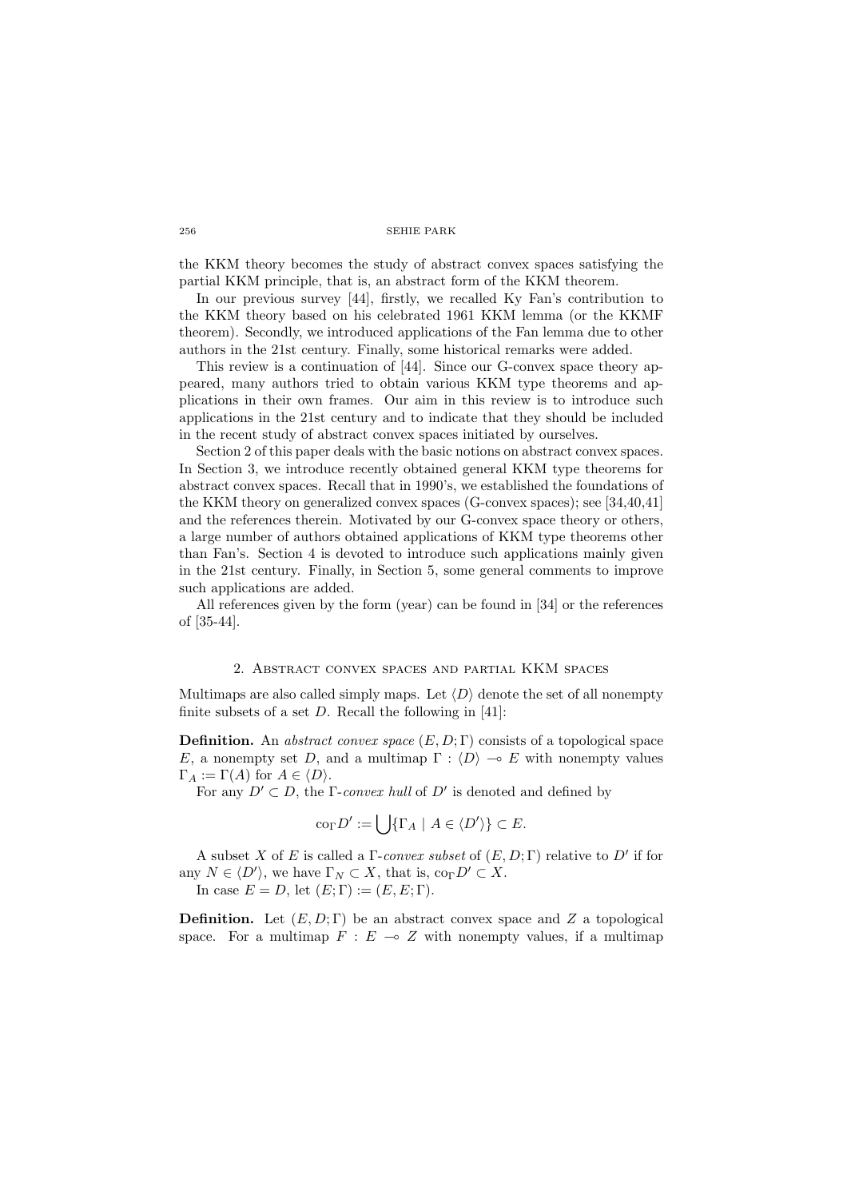the KKM theory becomes the study of abstract convex spaces satisfying the partial KKM principle, that is, an abstract form of the KKM theorem.

In our previous survey [44], firstly, we recalled Ky Fan's contribution to the KKM theory based on his celebrated 1961 KKM lemma (or the KKMF theorem). Secondly, we introduced applications of the Fan lemma due to other authors in the 21st century. Finally, some historical remarks were added.

This review is a continuation of [44]. Since our G-convex space theory appeared, many authors tried to obtain various KKM type theorems and applications in their own frames. Our aim in this review is to introduce such applications in the 21st century and to indicate that they should be included in the recent study of abstract convex spaces initiated by ourselves.

Section 2 of this paper deals with the basic notions on abstract convex spaces. In Section 3, we introduce recently obtained general KKM type theorems for abstract convex spaces. Recall that in 1990's, we established the foundations of the KKM theory on generalized convex spaces (G-convex spaces); see [34,40,41] and the references therein. Motivated by our G-convex space theory or others, a large number of authors obtained applications of KKM type theorems other than Fan's. Section 4 is devoted to introduce such applications mainly given in the 21st century. Finally, in Section 5, some general comments to improve such applications are added.

All references given by the form (year) can be found in [34] or the references of [35-44].

## 2. Abstract convex spaces and partial KKM spaces

Multimaps are also called simply maps. Let  $\langle D \rangle$  denote the set of all nonempty finite subsets of a set *D*. Recall the following in [41]:

**Definition.** An *abstract convex space* (*E, D*; Γ) consists of a topological space *E*, a nonempty set *D*, and a multimap  $\Gamma : \langle D \rangle \to E$  with nonempty values  $\Gamma_A := \Gamma(A)$  for  $A \in \langle D \rangle$ .

For any  $D' \subset D$ , the  $\Gamma$ -*convex hull* of  $D'$  is denoted and defined by

$$
\text{co}_{\Gamma} D' := \bigcup \{ \Gamma_A \mid A \in \langle D' \rangle \} \subset E.
$$

A subset *X* of *E* is called a Γ-*convex subset* of (*E, D*; Γ) relative to *D′* if for any  $N \in \langle D' \rangle$ , we have  $\Gamma_N \subset X$ , that is,  $\text{co}_{\Gamma} D' \subset X$ .

In case  $E = D$ , let  $(E; \Gamma) := (E, E; \Gamma)$ .

**Definition.** Let (*E, D*; Γ) be an abstract convex space and *Z* a topological space. For a multimap  $F : E \to Z$  with nonempty values, if a multimap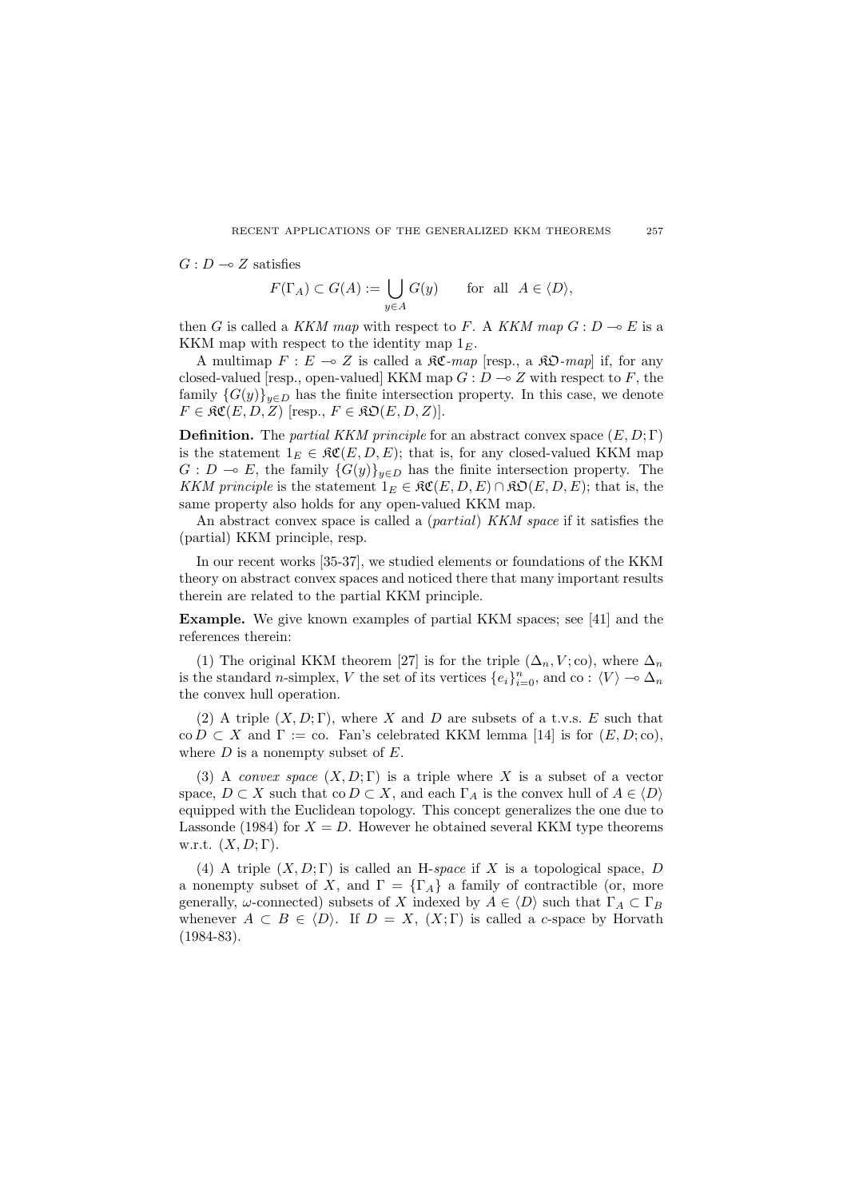$G: D \longrightarrow Z$  satisfies

$$
F(\Gamma_A) \subset G(A) := \bigcup_{y \in A} G(y) \quad \text{for all } A \in \langle D \rangle,
$$

then *G* is called a *KKM map* with respect to *F*. A *KKM map*  $G: D \to E$  is a KKM map with respect to the identity map 1*E*.

A multimap  $F: E \multimap Z$  is called a  $\Re \mathfrak{C}$ -map [resp., a  $\Re \mathfrak{D}$ -map] if, for any closed-valued [resp., open-valued] KKM map  $G: D \to Z$  with respect to *F*, the family  ${G(y)}_{y \in D}$  has the finite intersection property. In this case, we denote  $F \in \mathfrak{RC}(E, D, Z)$  [resp.,  $F \in \mathfrak{RO}(E, D, Z)$ ].

**Definition.** The *partial KKM principle* for an abstract convex space (*E, D*; Γ) is the statement  $1_E \in \mathfrak{RC}(E, D, E)$ ; that is, for any closed-valued KKM map *G* : *D* → *E*, the family  ${G(y)}_{y \in D}$  has the finite intersection property. The *KKM principle* is the statement  $1_E \in \mathfrak{RC}(E,D,E) \cap \mathfrak{RO}(E,D,E)$ ; that is, the same property also holds for any open-valued KKM map.

An abstract convex space is called a (*partial*) *KKM space* if it satisfies the (partial) KKM principle, resp.

In our recent works [35-37], we studied elements or foundations of the KKM theory on abstract convex spaces and noticed there that many important results therein are related to the partial KKM principle.

**Example.** We give known examples of partial KKM spaces; see [41] and the references therein:

(1) The original KKM theorem [27] is for the triple  $(\Delta_n, V; \text{co})$ , where  $\Delta_n$ is the standard *n*-simplex, *V* the set of its vertices  $\{e_i\}_{i=0}^n$ , and co :  $\langle V \rangle \to \Delta_n$ the convex hull operation.

(2) A triple  $(X, D; \Gamma)$ , where X and D are subsets of a t.v.s. E such that  $\text{co } D \subset X$  and  $\Gamma := \text{co.}$  Fan's celebrated KKM lemma [14] is for  $(E, D; \text{co})$ , where *D* is a nonempty subset of *E*.

(3) A *convex space*  $(X, D; \Gamma)$  is a triple where X is a subset of a vector space,  $D \subset X$  such that co  $D \subset X$ , and each  $\Gamma_A$  is the convex hull of  $A \in \langle D \rangle$ equipped with the Euclidean topology. This concept generalizes the one due to Lassonde (1984) for  $X = D$ . However he obtained several KKM type theorems w.r.t. (*X, D*; Γ).

(4) A triple (*X, D*; Γ) is called an H-*space* if *X* is a topological space, *D* a nonempty subset of X, and  $\Gamma = {\{\Gamma_A\}}$  a family of contractible (or, more generally,  $\omega$ -connected) subsets of *X* indexed by  $A \in \langle D \rangle$  such that  $\Gamma_A \subset \Gamma_B$ whenever  $A \subset B \in \langle D \rangle$ . If  $D = X$ ,  $(X;\Gamma)$  is called a *c*-space by Horvath (1984-83).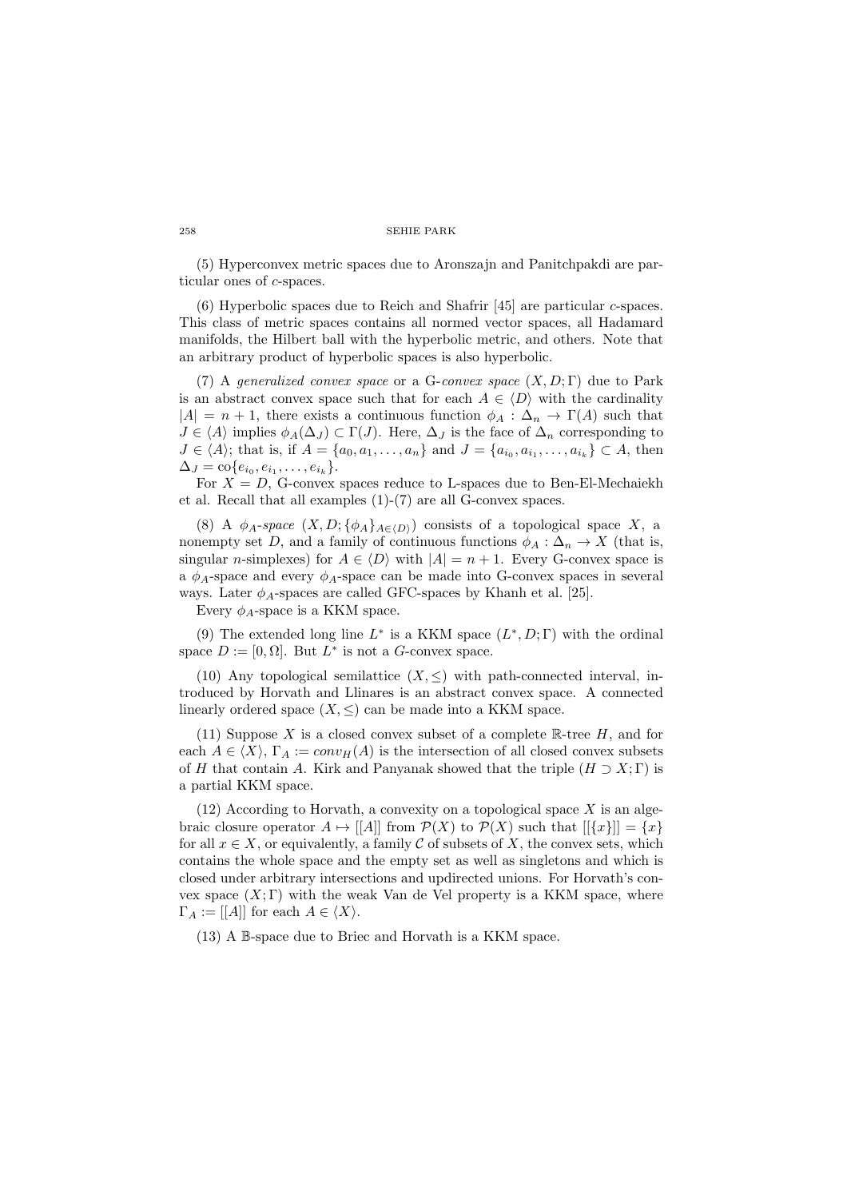(5) Hyperconvex metric spaces due to Aronszajn and Panitchpakdi are particular ones of *c*-spaces.

(6) Hyperbolic spaces due to Reich and Shafrir [45] are particular *c*-spaces. This class of metric spaces contains all normed vector spaces, all Hadamard manifolds, the Hilbert ball with the hyperbolic metric, and others. Note that an arbitrary product of hyperbolic spaces is also hyperbolic.

(7) A *generalized convex space* or a G-*convex space* (*X, D*; Γ) due to Park is an abstract convex space such that for each  $A \in \langle D \rangle$  with the cardinality  $|A| = n + 1$ , there exists a continuous function  $\phi_A : \Delta_n \to \Gamma(A)$  such that  $J \in \langle A \rangle$  implies  $\phi_A(\Delta_J) \subset \Gamma(J)$ . Here,  $\Delta_J$  is the face of  $\Delta_n$  corresponding to  $J \in \langle A \rangle$ ; that is, if  $A = \{a_0, a_1, ..., a_n\}$  and  $J = \{a_{i_0}, a_{i_1}, ..., a_{i_k}\} \subset A$ , then  $\Delta_J = \text{co}\{e_{i_0}, e_{i_1}, \dots, e_{i_k}\}.$ 

For  $X = D$ , G-convex spaces reduce to L-spaces due to Ben-El-Mechaiekh et al. Recall that all examples (1)-(7) are all G-convex spaces.

(8) A  $\phi_A$ -*space*  $(X, D; {\phi_A}_{A \in \langle D \rangle})$  consists of a topological space X, a nonempty set *D*, and a family of continuous functions  $\phi_A : \Delta_n \to X$  (that is, singular *n*-simplexes) for  $A \in \langle D \rangle$  with  $|A| = n + 1$ . Every G-convex space is a  $\phi_A$ -space and every  $\phi_A$ -space can be made into G-convex spaces in several ways. Later  $\phi_A$ -spaces are called GFC-spaces by Khanh et al. [25].

Every  $\phi_A$ -space is a KKM space.

(9) The extended long line  $L^*$  is a KKM space  $(L^*, D; \Gamma)$  with the ordinal space  $D := [0, \Omega]$ . But  $L^*$  is not a *G*-convex space.

(10) Any topological semilattice  $(X, \leq)$  with path-connected interval, introduced by Horvath and Llinares is an abstract convex space. A connected linearly ordered space  $(X, \leq)$  can be made into a KKM space.

(11) Suppose X is a closed convex subset of a complete  $\mathbb{R}$ -tree H, and for each  $A \in \langle X \rangle$ ,  $\Gamma_A := conv_H(A)$  is the intersection of all closed convex subsets of *H* that contain *A*. Kirk and Panyanak showed that the triple  $(H \supset X; \Gamma)$  is a partial KKM space.

(12) According to Horvath, a convexity on a topological space *X* is an algebraic closure operator  $A \mapsto |[A]|$  from  $\mathcal{P}(X)$  to  $\mathcal{P}(X)$  such that  $|[\{x\}] = \{x\}$ for all  $x \in X$ , or equivalently, a family  $C$  of subsets of  $X$ , the convex sets, which contains the whole space and the empty set as well as singletons and which is closed under arbitrary intersections and updirected unions. For Horvath's convex space  $(X;\Gamma)$  with the weak Van de Vel property is a KKM space, where  $\Gamma_A := [[A]]$  for each  $A \in \langle X \rangle$ .

(13) A B-space due to Briec and Horvath is a KKM space.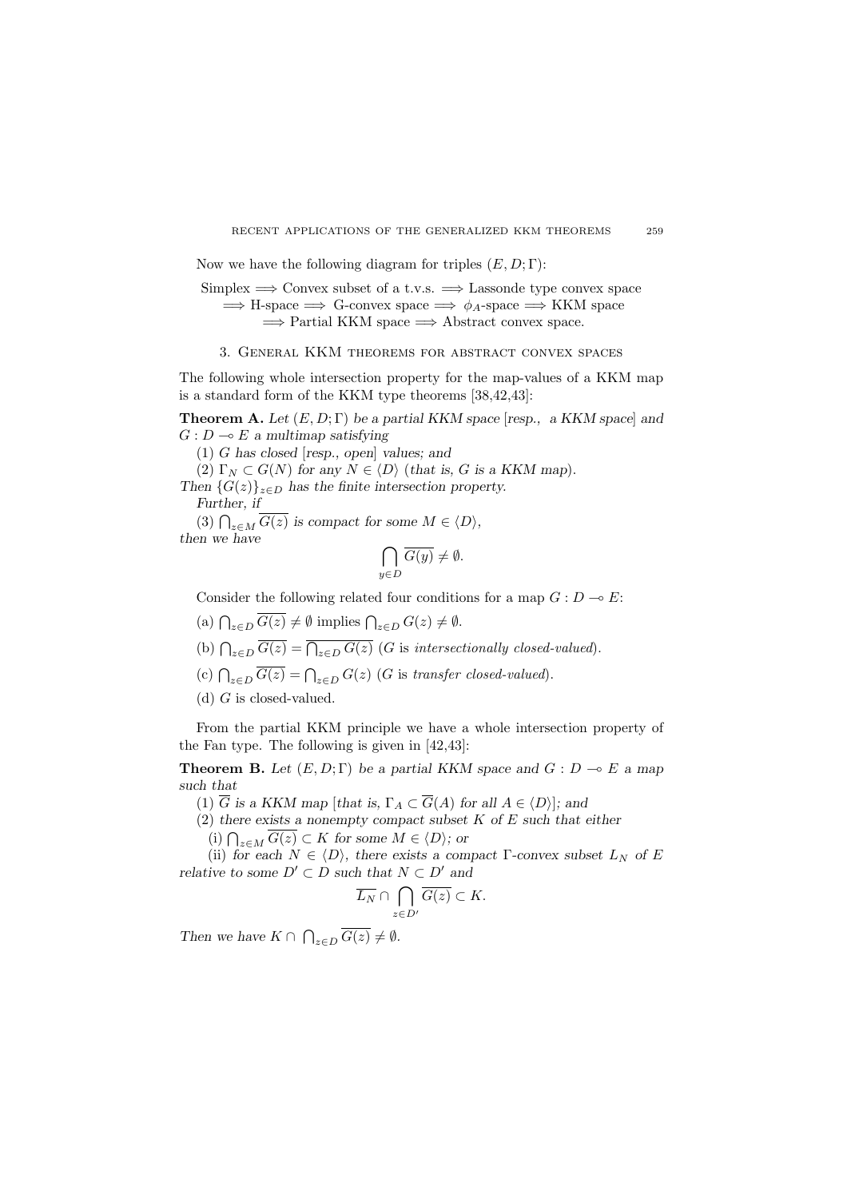Now we have the following diagram for triples  $(E, D; \Gamma)$ :

Simplex =*⇒* Convex subset of a t.v.s. =*⇒* Lassonde type convex space =*⇒* H-space =*⇒* G-convex space =*⇒ ϕA*-space =*⇒* KKM space =*⇒* Partial KKM space =*⇒* Abstract convex space.

# 3. General KKM theorems for abstract convex spaces

The following whole intersection property for the map-values of a KKM map is a standard form of the KKM type theorems [38,42,43]:

**Theorem A.** *Let* (*E, D*; Γ) *be a partial KKM space* [*resp., a KKM space*] *and*  $G: D \longrightarrow E$  *a multimap satisfying* 

(1) *G has closed* [*resp., open*] *values; and*

(2)  $\Gamma_N \subset G(N)$  for any  $N \in \langle D \rangle$  (*that is, G is a KKM map*).

*Then*  $\{G(z)\}_{z \in D}$  *has the finite intersection property.* 

*Further, if*

 $(3)$   $\bigcap_{z \in M} \overline{G(z)}$  is compact for some  $M \in \langle D \rangle$ , *then we have*

$$
\bigcap_{y\in D}\overline{G(y)}\neq\emptyset.
$$

Consider the following related four conditions for a map  $G: D \to E$ :

 $(a) \bigcap_{z \in D} \overline{G(z)} \neq \emptyset$  implies  $\bigcap_{z \in D} G(z) \neq \emptyset$ .

(b)  $\bigcap_{z \in D} \overline{G(z)} = \overline{\bigcap_{z \in D} G(z)}$  (*G* is *intersectionally closed-valued*).

(c)  $\bigcap_{z \in D} \overline{G(z)} = \bigcap_{z \in D} G(z)$  (*G* is *transfer closed-valued*).

(d) *G* is closed-valued.

From the partial KKM principle we have a whole intersection property of the Fan type. The following is given in [42,43]:

**Theorem B.** *Let*  $(E, D; \Gamma)$  *be a partial KKM space and*  $G: D \to E$  *a map such that*

(1)  $\overline{G}$  *is a KKM map* [*that is,*  $\Gamma_A \subset \overline{G}(A)$  *for all*  $A \in \langle D \rangle$ ]*; and* 

(2) *there exists a nonempty compact subset K of E such that either*

(i)  $\bigcap_{z \in M} \overline{G(z)} \subset K$  for some  $M \in \langle D \rangle$ *; or* 

(ii) *for each*  $N \in \langle D \rangle$ *, there exists a compact* Γ-convex subset  $L_N$  *of*  $E$ *relative to some*  $D' \subset D$  *such that*  $N \subset D'$  *and* 

$$
\overline{L_N}\cap \bigcap_{z\in D'}\overline{G(z)}\subset K.
$$

*Then we have*  $K \cap \bigcap_{z \in D} \overline{G(z)} \neq \emptyset$ *.*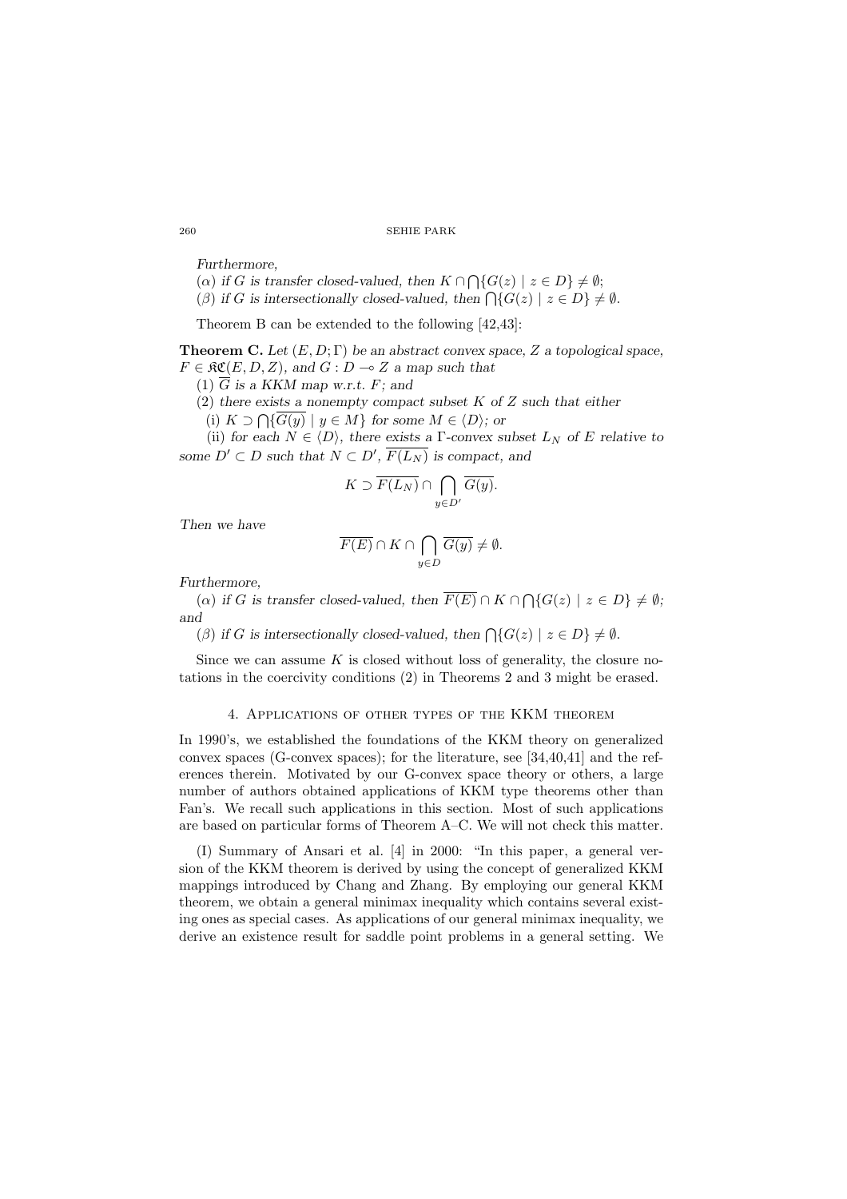*Furthermore,*

- (*α*) if *G* is transfer closed-valued, then  $K \cap \bigcap \{G(z) \mid z \in D\} \neq \emptyset;$
- $(\beta)$  *if G is intersectionally closed-valued, then*  $\bigcap \{G(z) \mid z \in D\} \neq \emptyset$ .

Theorem B can be extended to the following [42,43]:

**Theorem C.** *Let* (*E, D*; Γ) *be an abstract convex space, Z a topological space,*  $F \in \mathfrak{RC}(E, D, Z)$ , and  $G : D \to Z$  *a map such that* 

 $(1)$   $\overline{G}$  *is a KKM map w.r.t. F*; and

(2) *there exists a nonempty compact subset K of Z such that either*

(i)  $K \supset \bigcap \{ \overline{G(y)} \mid y \in M \}$  for some  $M \in \langle D \rangle$ ; or

(ii) *for each*  $N \in \langle D \rangle$ *, there exists a* Γ*-convex subset*  $L_N$  *of E relative to some*  $D' \subset D$  *such that*  $N \subset D'$ ,  $F(L_N)$  *is compact, and* 

$$
K \supset \overline{F(L_N)} \cap \bigcap_{y \in D'} \overline{G(y)}.
$$

*Then we have*

$$
\overline{F(E)}\cap K\cap \bigcap_{y\in D}\overline{G(y)}\neq \emptyset.
$$

*Furthermore,*

 $(\alpha)$  *if G is transfer closed-valued, then*  $\overline{F(E)} \cap K \cap \bigcap \{G(z) \mid z \in D\} \neq \emptyset;$ *and*

(*β*) if *G* is intersectionally closed-valued, then  $\bigcap \{G(z) \mid z \in D\} \neq \emptyset$ .

Since we can assume  $K$  is closed without loss of generality, the closure notations in the coercivity conditions (2) in Theorems 2 and 3 might be erased.

# 4. Applications of other types of the KKM theorem

In 1990's, we established the foundations of the KKM theory on generalized convex spaces (G-convex spaces); for the literature, see [34,40,41] and the references therein. Motivated by our G-convex space theory or others, a large number of authors obtained applications of KKM type theorems other than Fan's. We recall such applications in this section. Most of such applications are based on particular forms of Theorem A–C. We will not check this matter.

(I) Summary of Ansari et al. [4] in 2000: "In this paper, a general version of the KKM theorem is derived by using the concept of generalized KKM mappings introduced by Chang and Zhang. By employing our general KKM theorem, we obtain a general minimax inequality which contains several existing ones as special cases. As applications of our general minimax inequality, we derive an existence result for saddle point problems in a general setting. We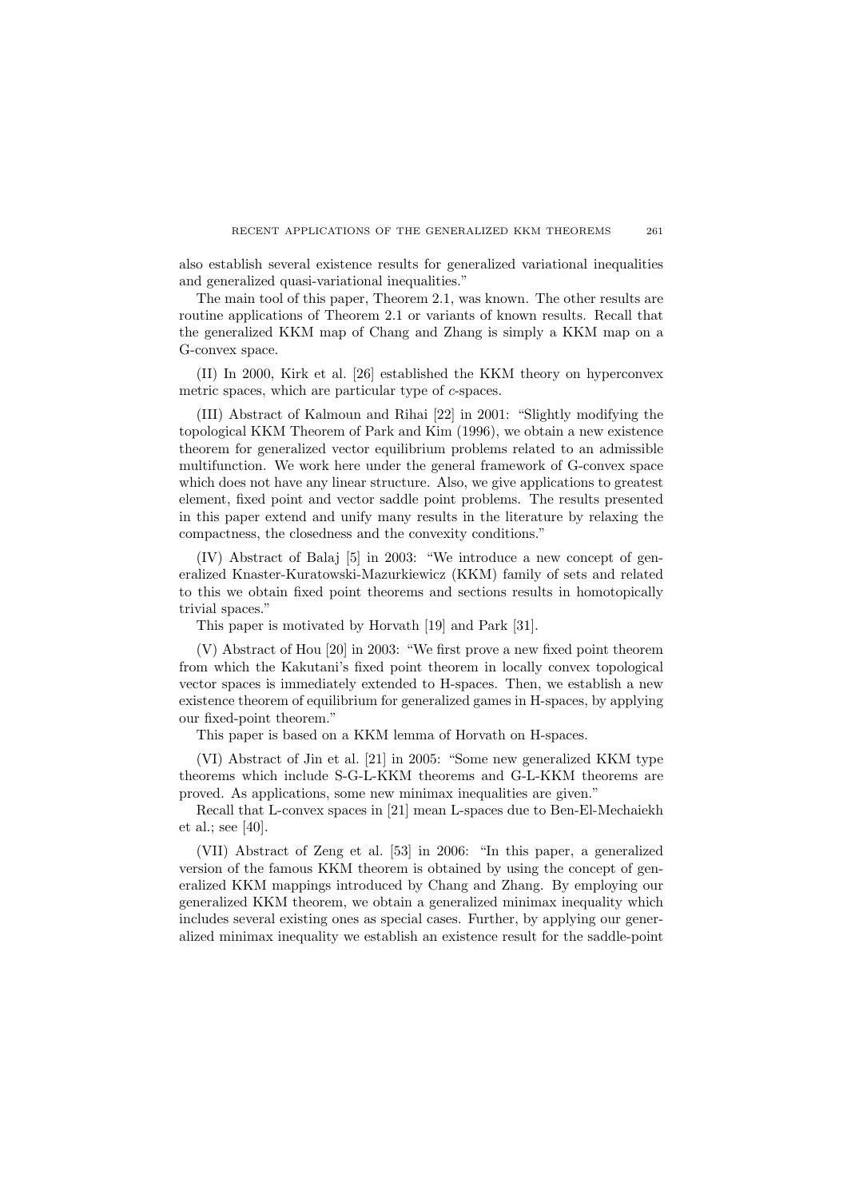also establish several existence results for generalized variational inequalities and generalized quasi-variational inequalities."

The main tool of this paper, Theorem 2.1, was known. The other results are routine applications of Theorem 2.1 or variants of known results. Recall that the generalized KKM map of Chang and Zhang is simply a KKM map on a G-convex space.

(II) In 2000, Kirk et al. [26] established the KKM theory on hyperconvex metric spaces, which are particular type of *c*-spaces.

(III) Abstract of Kalmoun and Rihai [22] in 2001: "Slightly modifying the topological KKM Theorem of Park and Kim (1996), we obtain a new existence theorem for generalized vector equilibrium problems related to an admissible multifunction. We work here under the general framework of G-convex space which does not have any linear structure. Also, we give applications to greatest element, fixed point and vector saddle point problems. The results presented in this paper extend and unify many results in the literature by relaxing the compactness, the closedness and the convexity conditions."

(IV) Abstract of Balaj [5] in 2003: "We introduce a new concept of generalized Knaster-Kuratowski-Mazurkiewicz (KKM) family of sets and related to this we obtain fixed point theorems and sections results in homotopically trivial spaces."

This paper is motivated by Horvath [19] and Park [31].

(V) Abstract of Hou [20] in 2003: "We first prove a new fixed point theorem from which the Kakutani's fixed point theorem in locally convex topological vector spaces is immediately extended to H-spaces. Then, we establish a new existence theorem of equilibrium for generalized games in H-spaces, by applying our fixed-point theorem."

This paper is based on a KKM lemma of Horvath on H-spaces.

(VI) Abstract of Jin et al. [21] in 2005: "Some new generalized KKM type theorems which include S-G-L-KKM theorems and G-L-KKM theorems are proved. As applications, some new minimax inequalities are given."

Recall that L-convex spaces in [21] mean L-spaces due to Ben-El-Mechaiekh et al.; see [40].

(VII) Abstract of Zeng et al. [53] in 2006: "In this paper, a generalized version of the famous KKM theorem is obtained by using the concept of generalized KKM mappings introduced by Chang and Zhang. By employing our generalized KKM theorem, we obtain a generalized minimax inequality which includes several existing ones as special cases. Further, by applying our generalized minimax inequality we establish an existence result for the saddle-point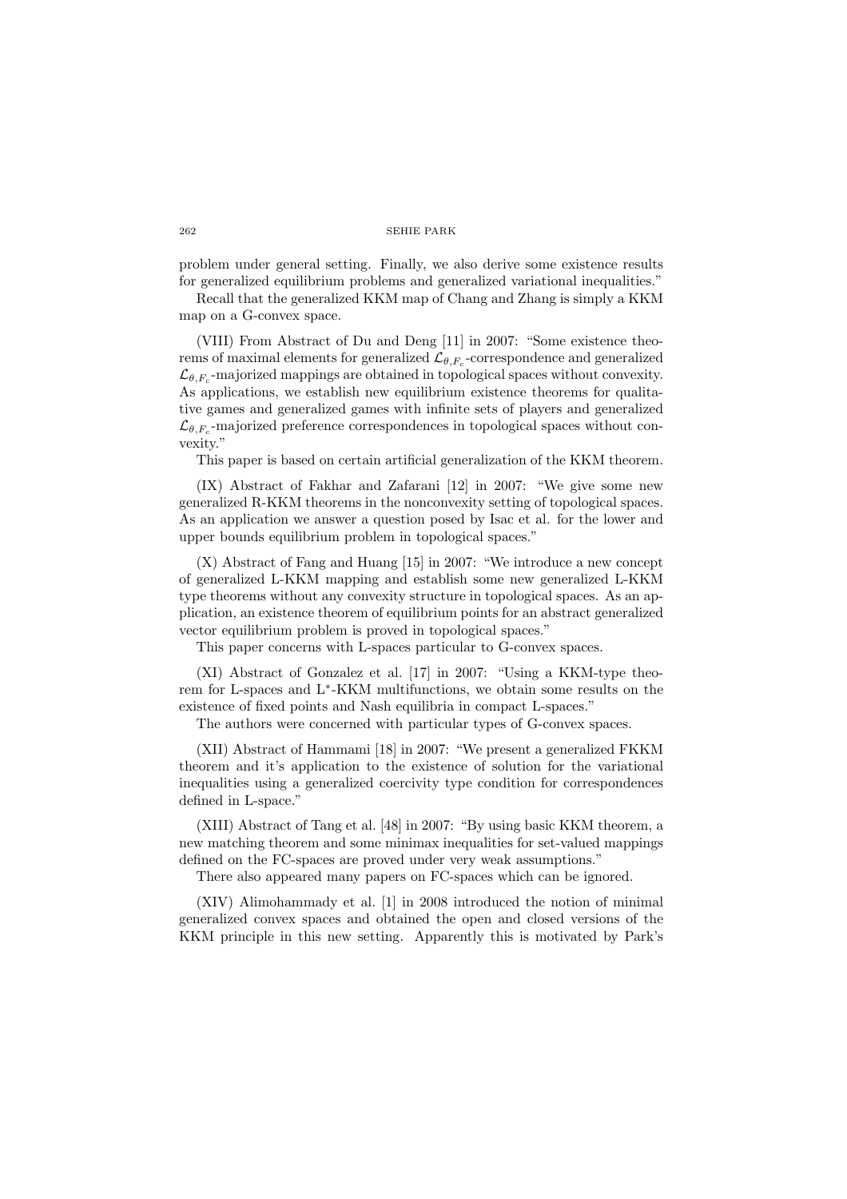problem under general setting. Finally, we also derive some existence results for generalized equilibrium problems and generalized variational inequalities."

Recall that the generalized KKM map of Chang and Zhang is simply a KKM map on a G-convex space.

(VIII) From Abstract of Du and Deng [11] in 2007: "Some existence theorems of maximal elements for generalized  $\mathcal{L}_{\theta,F_c}$ -correspondence and generalized  $\mathcal{L}_{\theta, F_c}$ -majorized mappings are obtained in topological spaces without convexity. As applications, we establish new equilibrium existence theorems for qualitative games and generalized games with infinite sets of players and generalized  $\mathcal{L}_{\theta, F_c}$ -majorized preference correspondences in topological spaces without convexity."

This paper is based on certain artificial generalization of the KKM theorem.

(IX) Abstract of Fakhar and Zafarani [12] in 2007: "We give some new generalized R-KKM theorems in the nonconvexity setting of topological spaces. As an application we answer a question posed by Isac et al. for the lower and upper bounds equilibrium problem in topological spaces."

(X) Abstract of Fang and Huang [15] in 2007: "We introduce a new concept of generalized L-KKM mapping and establish some new generalized L-KKM type theorems without any convexity structure in topological spaces. As an application, an existence theorem of equilibrium points for an abstract generalized vector equilibrium problem is proved in topological spaces."

This paper concerns with L-spaces particular to G-convex spaces.

(XI) Abstract of Gonzalez et al. [17] in 2007: "Using a KKM-type theorem for L-spaces and L*<sup>∗</sup>* -KKM multifunctions, we obtain some results on the existence of fixed points and Nash equilibria in compact L-spaces."

The authors were concerned with particular types of G-convex spaces.

(XII) Abstract of Hammami [18] in 2007: "We present a generalized FKKM theorem and it's application to the existence of solution for the variational inequalities using a generalized coercivity type condition for correspondences defined in L-space."

(XIII) Abstract of Tang et al. [48] in 2007: "By using basic KKM theorem, a new matching theorem and some minimax inequalities for set-valued mappings defined on the FC-spaces are proved under very weak assumptions."

There also appeared many papers on FC-spaces which can be ignored.

(XIV) Alimohammady et al. [1] in 2008 introduced the notion of minimal generalized convex spaces and obtained the open and closed versions of the KKM principle in this new setting. Apparently this is motivated by Park's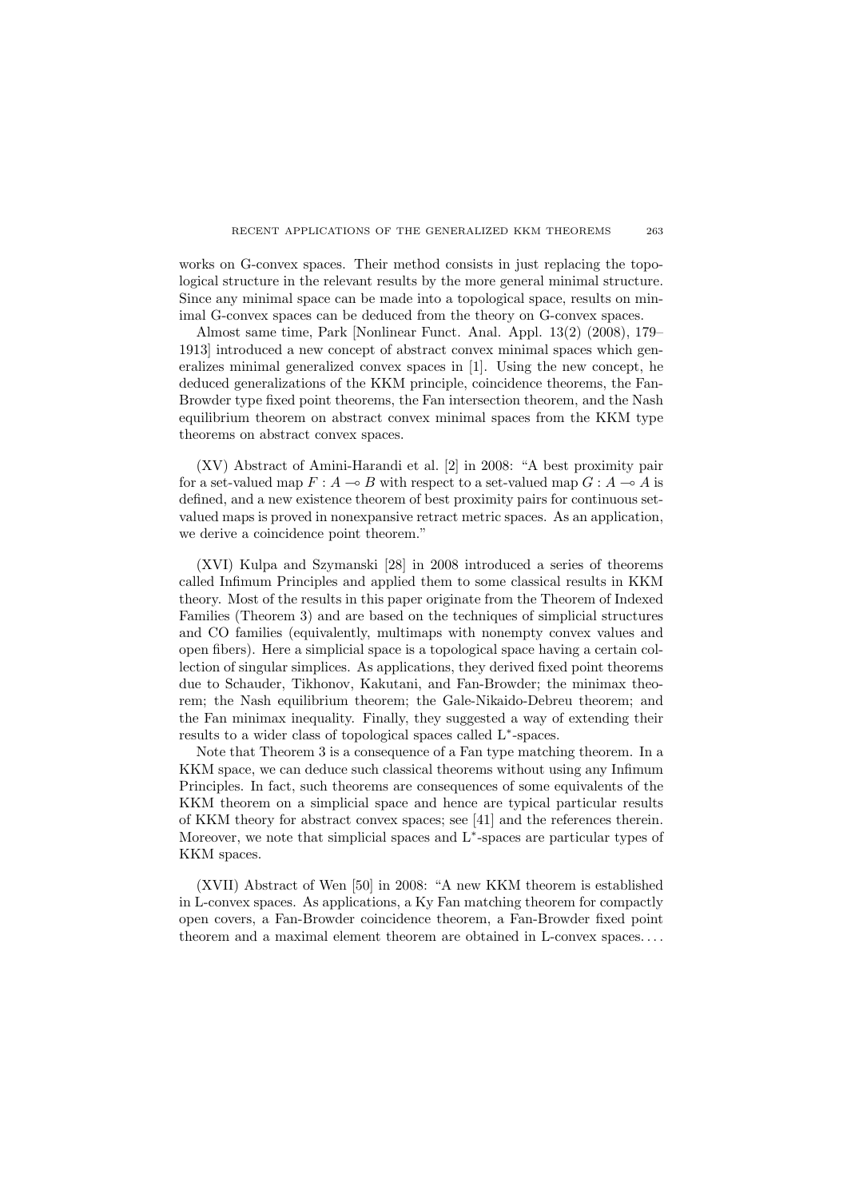works on G-convex spaces. Their method consists in just replacing the topological structure in the relevant results by the more general minimal structure. Since any minimal space can be made into a topological space, results on minimal G-convex spaces can be deduced from the theory on G-convex spaces.

Almost same time, Park [Nonlinear Funct. Anal. Appl. 13(2) (2008), 179– 1913] introduced a new concept of abstract convex minimal spaces which generalizes minimal generalized convex spaces in [1]. Using the new concept, he deduced generalizations of the KKM principle, coincidence theorems, the Fan-Browder type fixed point theorems, the Fan intersection theorem, and the Nash equilibrium theorem on abstract convex minimal spaces from the KKM type theorems on abstract convex spaces.

(XV) Abstract of Amini-Harandi et al. [2] in 2008: "A best proximity pair for a set-valued map  $F: A \to B$  with respect to a set-valued map  $G: A \to A$  is defined, and a new existence theorem of best proximity pairs for continuous setvalued maps is proved in nonexpansive retract metric spaces. As an application, we derive a coincidence point theorem."

(XVI) Kulpa and Szymanski [28] in 2008 introduced a series of theorems called Infimum Principles and applied them to some classical results in KKM theory. Most of the results in this paper originate from the Theorem of Indexed Families (Theorem 3) and are based on the techniques of simplicial structures and CO families (equivalently, multimaps with nonempty convex values and open fibers). Here a simplicial space is a topological space having a certain collection of singular simplices. As applications, they derived fixed point theorems due to Schauder, Tikhonov, Kakutani, and Fan-Browder; the minimax theorem; the Nash equilibrium theorem; the Gale-Nikaido-Debreu theorem; and the Fan minimax inequality. Finally, they suggested a way of extending their results to a wider class of topological spaces called L*<sup>∗</sup>* -spaces.

Note that Theorem 3 is a consequence of a Fan type matching theorem. In a KKM space, we can deduce such classical theorems without using any Infimum Principles. In fact, such theorems are consequences of some equivalents of the KKM theorem on a simplicial space and hence are typical particular results of KKM theory for abstract convex spaces; see [41] and the references therein. Moreover, we note that simplicial spaces and L*<sup>∗</sup>* -spaces are particular types of KKM spaces.

(XVII) Abstract of Wen [50] in 2008: "A new KKM theorem is established in L-convex spaces. As applications, a Ky Fan matching theorem for compactly open covers, a Fan-Browder coincidence theorem, a Fan-Browder fixed point theorem and a maximal element theorem are obtained in L-convex spaces. . . .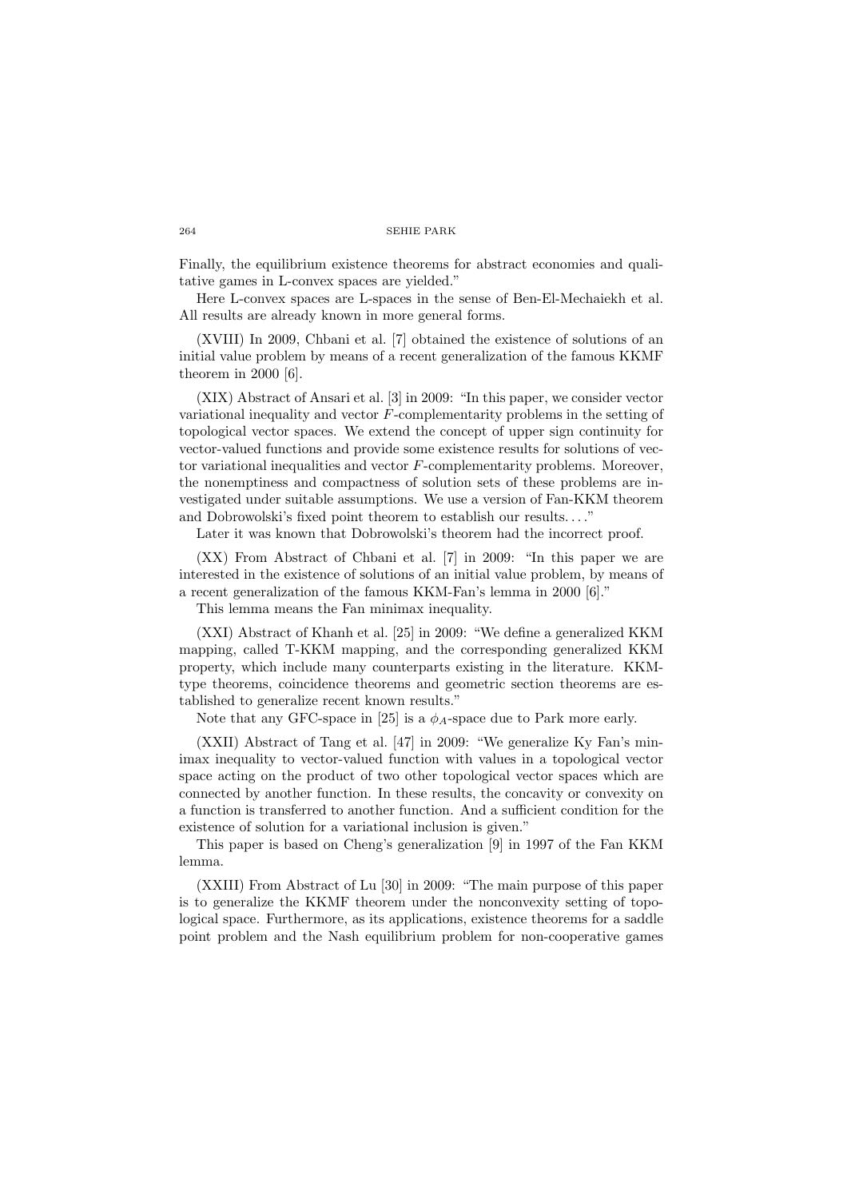Finally, the equilibrium existence theorems for abstract economies and qualitative games in L-convex spaces are yielded."

Here L-convex spaces are L-spaces in the sense of Ben-El-Mechaiekh et al. All results are already known in more general forms.

(XVIII) In 2009, Chbani et al. [7] obtained the existence of solutions of an initial value problem by means of a recent generalization of the famous KKMF theorem in 2000 [6].

(XIX) Abstract of Ansari et al. [3] in 2009: "In this paper, we consider vector variational inequality and vector *F*-complementarity problems in the setting of topological vector spaces. We extend the concept of upper sign continuity for vector-valued functions and provide some existence results for solutions of vector variational inequalities and vector *F*-complementarity problems. Moreover, the nonemptiness and compactness of solution sets of these problems are investigated under suitable assumptions. We use a version of Fan-KKM theorem and Dobrowolski's fixed point theorem to establish our results. . . ."

Later it was known that Dobrowolski's theorem had the incorrect proof.

(XX) From Abstract of Chbani et al. [7] in 2009: "In this paper we are interested in the existence of solutions of an initial value problem, by means of a recent generalization of the famous KKM-Fan's lemma in 2000 [6]."

This lemma means the Fan minimax inequality.

(XXI) Abstract of Khanh et al. [25] in 2009: "We define a generalized KKM mapping, called T-KKM mapping, and the corresponding generalized KKM property, which include many counterparts existing in the literature. KKMtype theorems, coincidence theorems and geometric section theorems are established to generalize recent known results."

Note that any GFC-space in [25] is a  $\phi_A$ -space due to Park more early.

(XXII) Abstract of Tang et al. [47] in 2009: "We generalize Ky Fan's minimax inequality to vector-valued function with values in a topological vector space acting on the product of two other topological vector spaces which are connected by another function. In these results, the concavity or convexity on a function is transferred to another function. And a sufficient condition for the existence of solution for a variational inclusion is given."

This paper is based on Cheng's generalization [9] in 1997 of the Fan KKM lemma.

(XXIII) From Abstract of Lu [30] in 2009: "The main purpose of this paper is to generalize the KKMF theorem under the nonconvexity setting of topological space. Furthermore, as its applications, existence theorems for a saddle point problem and the Nash equilibrium problem for non-cooperative games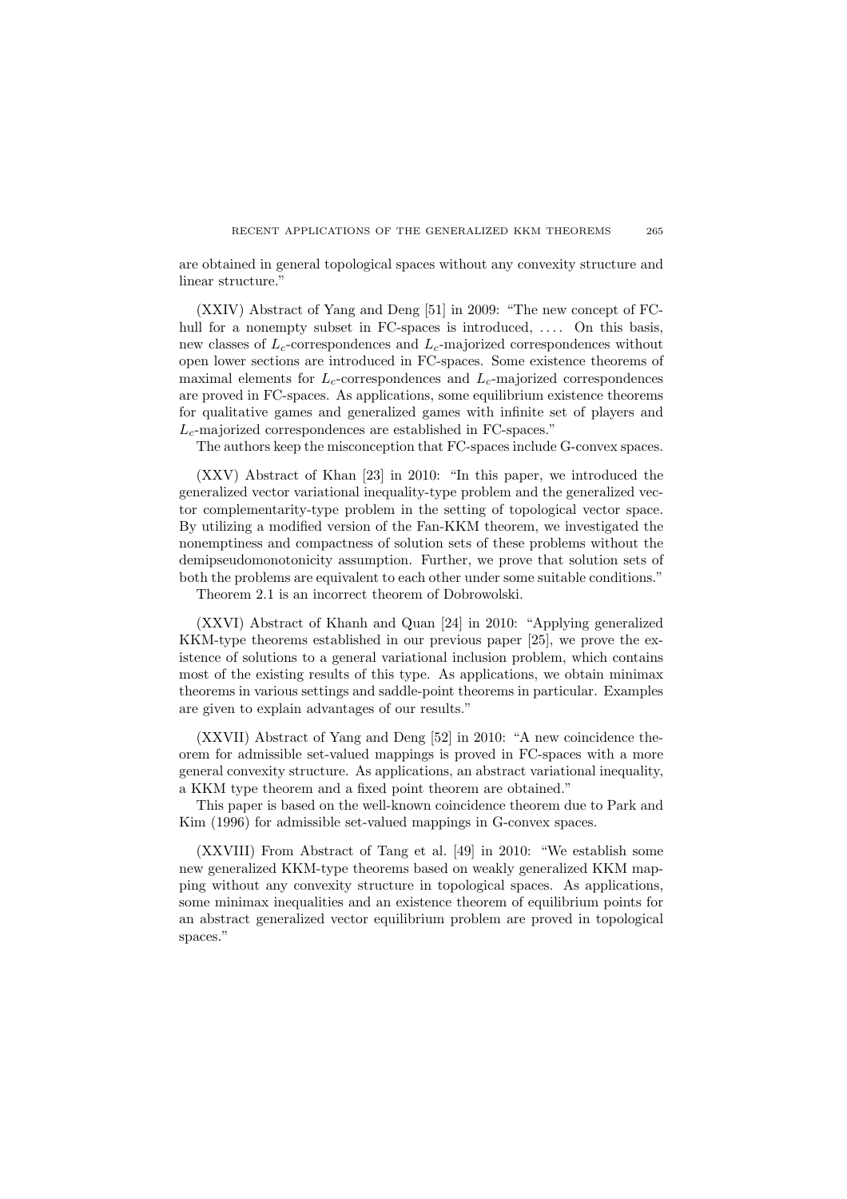are obtained in general topological spaces without any convexity structure and linear structure."

(XXIV) Abstract of Yang and Deng [51] in 2009: "The new concept of FChull for a nonempty subset in FC-spaces is introduced, .... On this basis, new classes of *Lc*-correspondences and *Lc*-majorized correspondences without open lower sections are introduced in FC-spaces. Some existence theorems of maximal elements for *Lc*-correspondences and *Lc*-majorized correspondences are proved in FC-spaces. As applications, some equilibrium existence theorems for qualitative games and generalized games with infinite set of players and *Lc*-majorized correspondences are established in FC-spaces."

The authors keep the misconception that FC-spaces include G-convex spaces.

(XXV) Abstract of Khan [23] in 2010: "In this paper, we introduced the generalized vector variational inequality-type problem and the generalized vector complementarity-type problem in the setting of topological vector space. By utilizing a modified version of the Fan-KKM theorem, we investigated the nonemptiness and compactness of solution sets of these problems without the demipseudomonotonicity assumption. Further, we prove that solution sets of both the problems are equivalent to each other under some suitable conditions."

Theorem 2.1 is an incorrect theorem of Dobrowolski.

(XXVI) Abstract of Khanh and Quan [24] in 2010: "Applying generalized KKM-type theorems established in our previous paper [25], we prove the existence of solutions to a general variational inclusion problem, which contains most of the existing results of this type. As applications, we obtain minimax theorems in various settings and saddle-point theorems in particular. Examples are given to explain advantages of our results."

(XXVII) Abstract of Yang and Deng [52] in 2010: "A new coincidence theorem for admissible set-valued mappings is proved in FC-spaces with a more general convexity structure. As applications, an abstract variational inequality, a KKM type theorem and a fixed point theorem are obtained."

This paper is based on the well-known coincidence theorem due to Park and Kim (1996) for admissible set-valued mappings in G-convex spaces.

(XXVIII) From Abstract of Tang et al. [49] in 2010: "We establish some new generalized KKM-type theorems based on weakly generalized KKM mapping without any convexity structure in topological spaces. As applications, some minimax inequalities and an existence theorem of equilibrium points for an abstract generalized vector equilibrium problem are proved in topological spaces."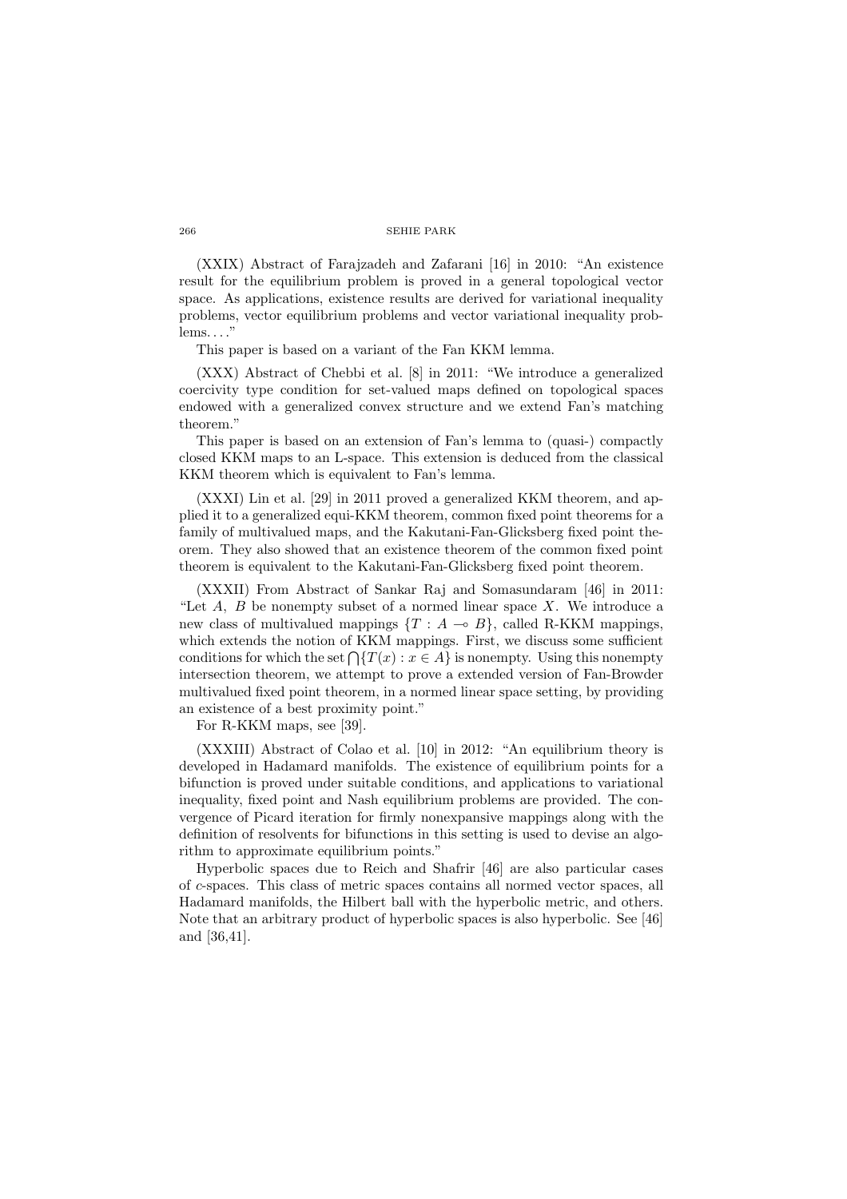(XXIX) Abstract of Farajzadeh and Zafarani [16] in 2010: "An existence result for the equilibrium problem is proved in a general topological vector space. As applications, existence results are derived for variational inequality problems, vector equilibrium problems and vector variational inequality prob $lems. \ldots$ "

This paper is based on a variant of the Fan KKM lemma.

(XXX) Abstract of Chebbi et al. [8] in 2011: "We introduce a generalized coercivity type condition for set-valued maps defined on topological spaces endowed with a generalized convex structure and we extend Fan's matching theorem."

This paper is based on an extension of Fan's lemma to (quasi-) compactly closed KKM maps to an L-space. This extension is deduced from the classical KKM theorem which is equivalent to Fan's lemma.

(XXXI) Lin et al. [29] in 2011 proved a generalized KKM theorem, and applied it to a generalized equi-KKM theorem, common fixed point theorems for a family of multivalued maps, and the Kakutani-Fan-Glicksberg fixed point theorem. They also showed that an existence theorem of the common fixed point theorem is equivalent to the Kakutani-Fan-Glicksberg fixed point theorem.

(XXXII) From Abstract of Sankar Raj and Somasundaram [46] in 2011: "Let *A, B* be nonempty subset of a normed linear space *X*. We introduce a new class of multivalued mappings  $\{T : A \rightarrow B\}$ , called R-KKM mappings, which extends the notion of KKM mappings. First, we discuss some sufficient conditions for which the set  $\bigcap \{T(x) : x \in A\}$  is nonempty. Using this nonempty intersection theorem, we attempt to prove a extended version of Fan-Browder multivalued fixed point theorem, in a normed linear space setting, by providing an existence of a best proximity point."

For R-KKM maps, see [39].

(XXXIII) Abstract of Colao et al. [10] in 2012: "An equilibrium theory is developed in Hadamard manifolds. The existence of equilibrium points for a bifunction is proved under suitable conditions, and applications to variational inequality, fixed point and Nash equilibrium problems are provided. The convergence of Picard iteration for firmly nonexpansive mappings along with the definition of resolvents for bifunctions in this setting is used to devise an algorithm to approximate equilibrium points."

Hyperbolic spaces due to Reich and Shafrir [46] are also particular cases of *c*-spaces. This class of metric spaces contains all normed vector spaces, all Hadamard manifolds, the Hilbert ball with the hyperbolic metric, and others. Note that an arbitrary product of hyperbolic spaces is also hyperbolic. See [46] and [36,41].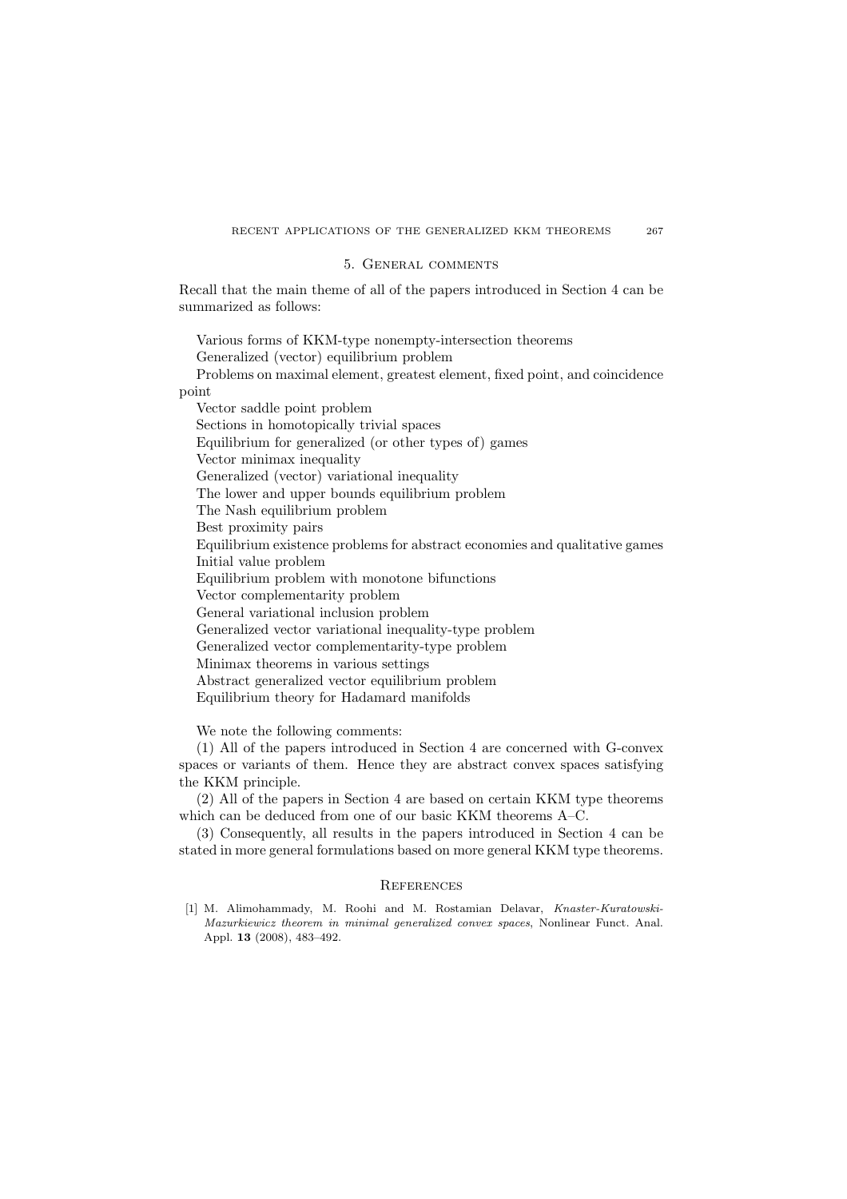# 5. General comments

Recall that the main theme of all of the papers introduced in Section 4 can be summarized as follows:

Various forms of KKM-type nonempty-intersection theorems Generalized (vector) equilibrium problem Problems on maximal element, greatest element, fixed point, and coincidence point Vector saddle point problem Sections in homotopically trivial spaces Equilibrium for generalized (or other types of) games

Vector minimax inequality

Generalized (vector) variational inequality

The lower and upper bounds equilibrium problem

The Nash equilibrium problem

Best proximity pairs

Equilibrium existence problems for abstract economies and qualitative games Initial value problem

Equilibrium problem with monotone bifunctions

Vector complementarity problem

General variational inclusion problem

Generalized vector variational inequality-type problem

Generalized vector complementarity-type problem

Minimax theorems in various settings

Abstract generalized vector equilibrium problem

Equilibrium theory for Hadamard manifolds

We note the following comments:

(1) All of the papers introduced in Section 4 are concerned with G-convex spaces or variants of them. Hence they are abstract convex spaces satisfying the KKM principle.

(2) All of the papers in Section 4 are based on certain KKM type theorems which can be deduced from one of our basic KKM theorems A–C.

(3) Consequently, all results in the papers introduced in Section 4 can be stated in more general formulations based on more general KKM type theorems.

## **REFERENCES**

[1] M. Alimohammady, M. Roohi and M. Rostamian Delavar, *Knaster-Kuratowski-Mazurkiewicz theorem in minimal generalized convex spaces*, Nonlinear Funct. Anal. Appl. **13** (2008), 483–492.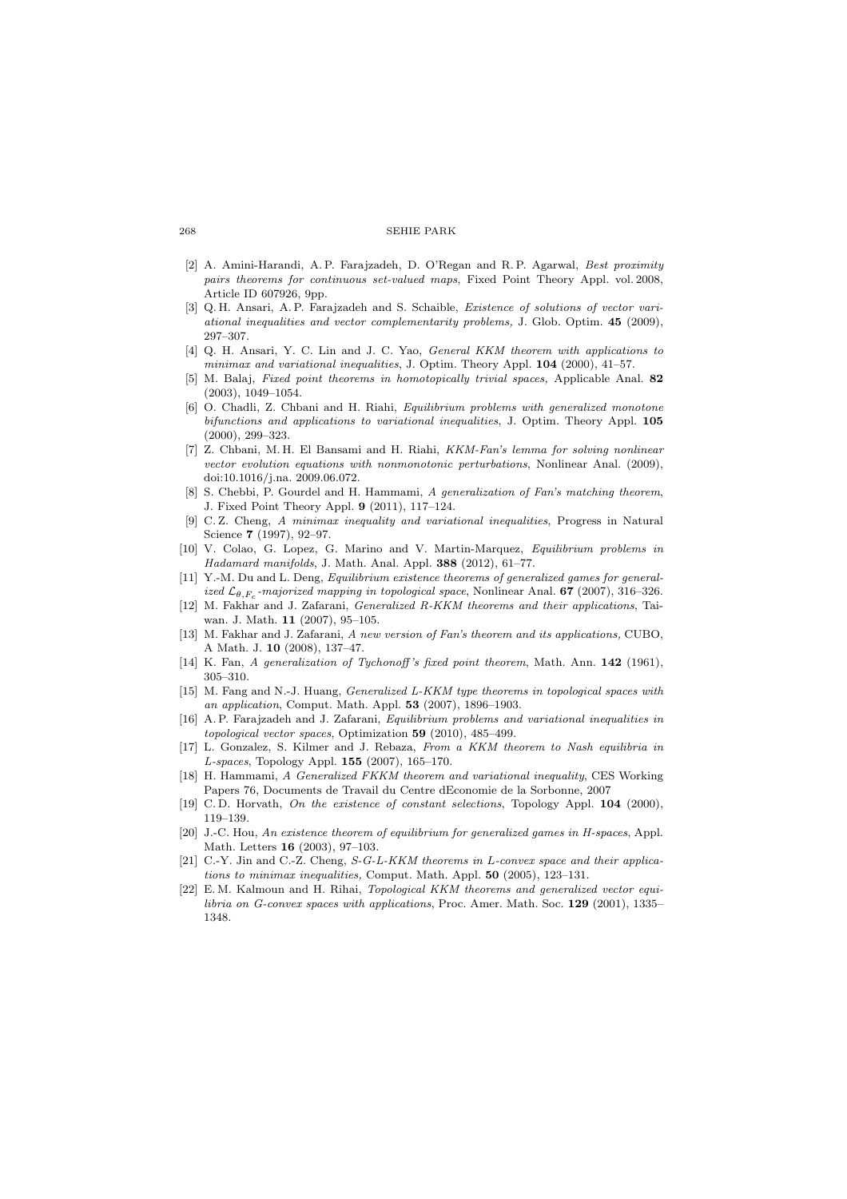- [2] A. Amini-Harandi, A. P. Farajzadeh, D. O'Regan and R. P. Agarwal, *Best proximity pairs theorems for continuous set-valued maps*, Fixed Point Theory Appl. vol. 2008, Article ID 607926, 9pp.
- [3] Q. H. Ansari, A. P. Farajzadeh and S. Schaible, *Existence of solutions of vector variational inequalities and vector complementarity problems,* J. Glob. Optim. **45** (2009), 297–307.
- [4] Q. H. Ansari, Y. C. Lin and J. C. Yao, *General KKM theorem with applications to minimax and variational inequalities*, J. Optim. Theory Appl. **104** (2000), 41–57.
- [5] M. Balaj, *Fixed point theorems in homotopically trivial spaces,* Applicable Anal. **82** (2003), 1049–1054.
- [6] O. Chadli, Z. Chbani and H. Riahi, *Equilibrium problems with generalized monotone bifunctions and applications to variational inequalities*, J. Optim. Theory Appl. **105** (2000), 299–323.
- [7] Z. Chbani, M. H. El Bansami and H. Riahi, *KKM-Fan's lemma for solving nonlinear vector evolution equations with nonmonotonic perturbations*, Nonlinear Anal. (2009), doi:10.1016/j.na. 2009.06.072.
- [8] S. Chebbi, P. Gourdel and H. Hammami, *A generalization of Fan's matching theorem*, J. Fixed Point Theory Appl. **9** (2011), 117–124.
- [9] C. Z. Cheng, *A minimax inequality and variational inequalities*, Progress in Natural Science **7** (1997), 92–97.
- [10] V. Colao, G. Lopez, G. Marino and V. Martin-Marquez, *Equilibrium problems in Hadamard manifolds*, J. Math. Anal. Appl. **388** (2012), 61–77.
- [11] Y.-M. Du and L. Deng, *Equilibrium existence theorems of generalized games for generalized Lθ,F<sup>c</sup> -majorized mapping in topological space*, Nonlinear Anal. **67** (2007), 316–326.
- [12] M. Fakhar and J. Zafarani, *Generalized R-KKM theorems and their applications*, Taiwan. J. Math. **11** (2007), 95–105.
- [13] M. Fakhar and J. Zafarani, *A new version of Fan's theorem and its applications,* CUBO, A Math. J. **10** (2008), 137–47.
- [14] K. Fan, *A generalization of Tychonoff 's fixed point theorem*, Math. Ann. **142** (1961), 305–310.
- [15] M. Fang and N.-J. Huang, *Generalized L-KKM type theorems in topological spaces with an application*, Comput. Math. Appl. **53** (2007), 1896–1903.
- [16] A. P. Farajzadeh and J. Zafarani, *Equilibrium problems and variational inequalities in topological vector spaces*, Optimization **59** (2010), 485–499.
- [17] L. Gonzalez, S. Kilmer and J. Rebaza, *From a KKM theorem to Nash equilibria in L-spaces*, Topology Appl. **155** (2007), 165–170.
- [18] H. Hammami, *A Generalized FKKM theorem and variational inequality*, CES Working Papers 76, Documents de Travail du Centre dEconomie de la Sorbonne, 2007
- [19] C. D. Horvath, *On the existence of constant selections*, Topology Appl. **104** (2000), 119–139.
- [20] J.-C. Hou, *An existence theorem of equilibrium for generalized games in H-spaces*, Appl. Math. Letters **16** (2003), 97–103.
- [21] C.-Y. Jin and C.-Z. Cheng, *S-G-L-KKM theorems in L-convex space and their applications to minimax inequalities,* Comput. Math. Appl. **50** (2005), 123–131.
- [22] E. M. Kalmoun and H. Rihai, *Topological KKM theorems and generalized vector equilibria on G-convex spaces with applications*, Proc. Amer. Math. Soc. **129** (2001), 1335– 1348.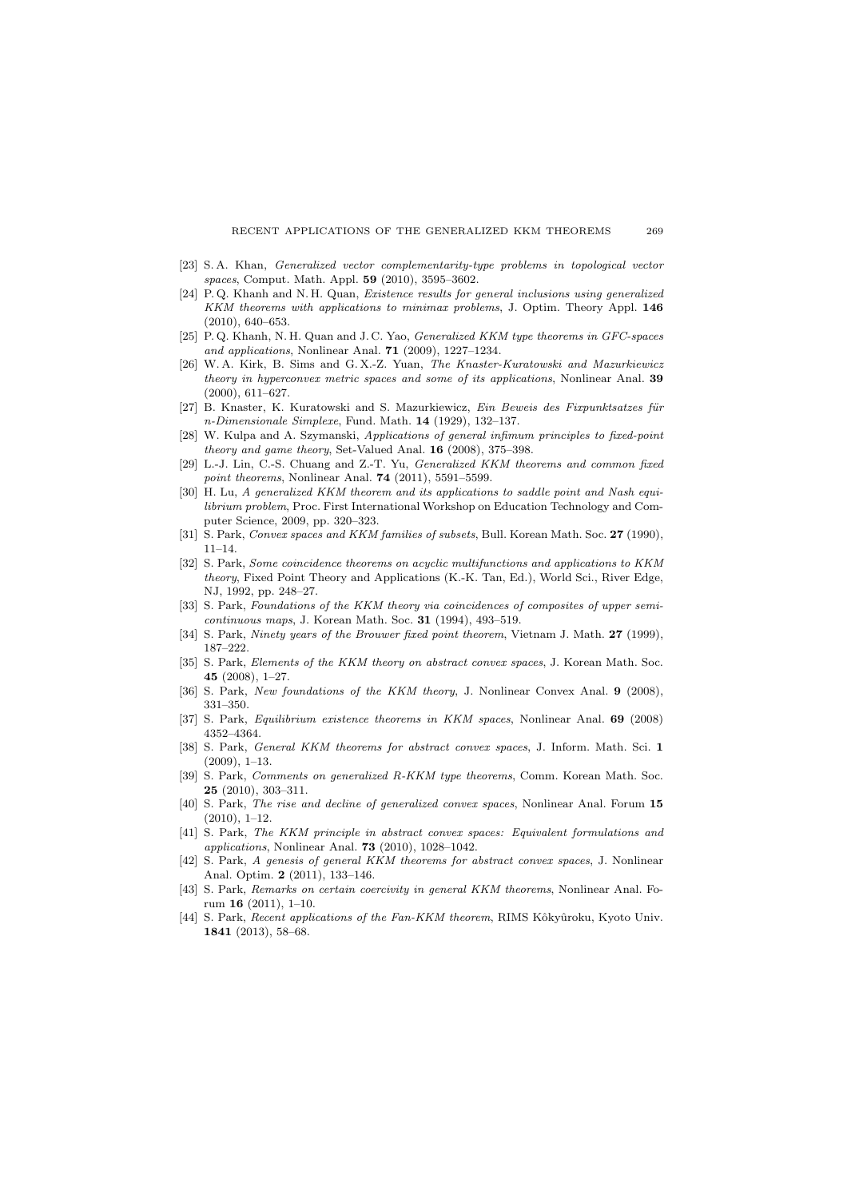- [23] S. A. Khan, *Generalized vector complementarity-type problems in topological vector spaces*, Comput. Math. Appl. **59** (2010), 3595–3602.
- [24] P. Q. Khanh and N. H. Quan, *Existence results for general inclusions using generalized KKM theorems with applications to minimax problems*, J. Optim. Theory Appl. **146** (2010), 640–653.
- [25] P. Q. Khanh, N. H. Quan and J. C. Yao, *Generalized KKM type theorems in GFC-spaces and applications*, Nonlinear Anal. **71** (2009), 1227–1234.
- [26] W. A. Kirk, B. Sims and G. X.-Z. Yuan, *The Knaster-Kuratowski and Mazurkiewicz theory in hyperconvex metric spaces and some of its applications*, Nonlinear Anal. **39** (2000), 611–627.
- [27] B. Knaster, K. Kuratowski and S. Mazurkiewicz, *Ein Beweis des Fixpunktsatzes für n-Dimensionale Simplexe*, Fund. Math. **14** (1929), 132–137.
- [28] W. Kulpa and A. Szymanski, *Applications of general infimum principles to fixed-point theory and game theory*, Set-Valued Anal. **16** (2008), 375–398.
- [29] L.-J. Lin, C.-S. Chuang and Z.-T. Yu, *Generalized KKM theorems and common fixed point theorems*, Nonlinear Anal. **74** (2011), 5591–5599.
- [30] H. Lu, *A generalized KKM theorem and its applications to saddle point and Nash equilibrium problem*, Proc. First International Workshop on Education Technology and Computer Science, 2009, pp. 320–323.
- [31] S. Park, *Convex spaces and KKM families of subsets*, Bull. Korean Math. Soc. **27** (1990), 11–14.
- [32] S. Park, *Some coincidence theorems on acyclic multifunctions and applications to KKM theory*, Fixed Point Theory and Applications (K.-K. Tan, Ed.), World Sci., River Edge, NJ, 1992, pp. 248–27.
- [33] S. Park, *Foundations of the KKM theory via coincidences of composites of upper semicontinuous maps*, J. Korean Math. Soc. **31** (1994), 493–519.
- [34] S. Park, *Ninety years of the Brouwer fixed point theorem*, Vietnam J. Math. **27** (1999), 187–222.
- [35] S. Park, *Elements of the KKM theory on abstract convex spaces*, J. Korean Math. Soc. **45** (2008), 1–27.
- [36] S. Park, *New foundations of the KKM theory*, J. Nonlinear Convex Anal. **9** (2008), 331–350.
- [37] S. Park, *Equilibrium existence theorems in KKM spaces*, Nonlinear Anal. **69** (2008) 4352–4364.
- [38] S. Park, *General KKM theorems for abstract convex spaces*, J. Inform. Math. Sci. **1** (2009), 1–13.
- [39] S. Park, *Comments on generalized R-KKM type theorems*, Comm. Korean Math. Soc. **25** (2010), 303–311.
- [40] S. Park, *The rise and decline of generalized convex spaces*, Nonlinear Anal. Forum **15** (2010), 1–12.
- [41] S. Park, *The KKM principle in abstract convex spaces: Equivalent formulations and applications*, Nonlinear Anal. **73** (2010), 1028–1042.
- [42] S. Park, *A genesis of general KKM theorems for abstract convex spaces*, J. Nonlinear Anal. Optim. **2** (2011), 133–146.
- [43] S. Park, *Remarks on certain coercivity in general KKM theorems*, Nonlinear Anal. Forum **16** (2011), 1–10.
- [44] S. Park, *Recent applications of the Fan-KKM theorem*, RIMS Kôkyûroku, Kyoto Univ. **1841** (2013), 58–68.